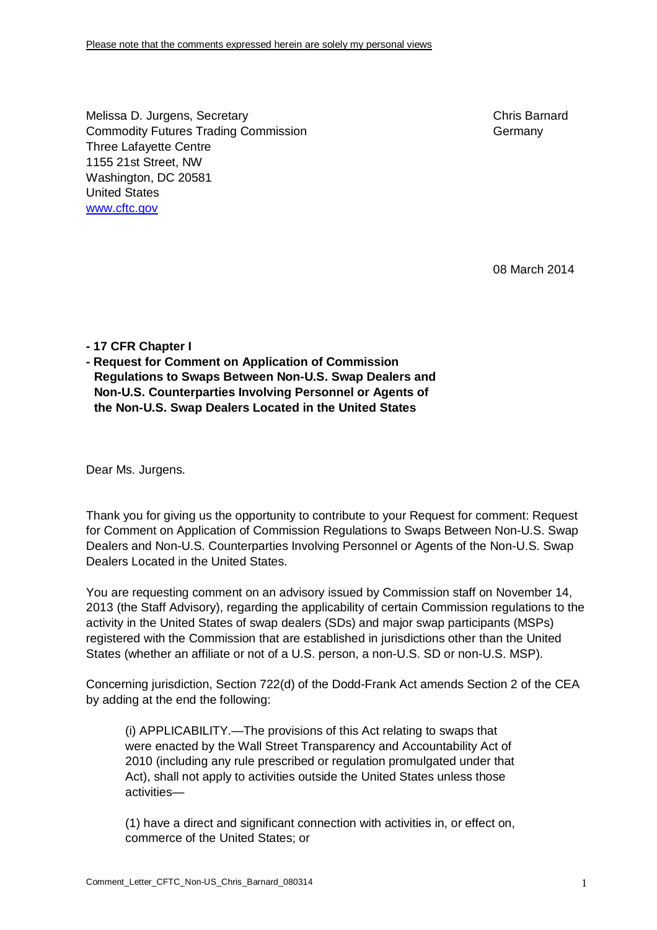Melissa D. Jurgens, Secretary Chris Barnard Commodity Futures Trading Commission Germany Germany Three Lafayette Centre 1155 21st Street, NW Washington, DC 20581 United States [www.cftc.gov](http://www.cftc.gov)

08 March 2014

**- 17 CFR Chapter I** 

**- Request for Comment on Application of Commission Regulations to Swaps Between Non-U.S. Swap Dealers and Non-U.S. Counterparties Involving Personnel or Agents of the Non-U.S. Swap Dealers Located in the United States** 

Dear Ms. Jurgens.

Thank you for giving us the opportunity to contribute to your Request for comment: Request for Comment on Application of Commission Regulations to Swaps Between Non-U.S. Swap Dealers and Non-U.S. Counterparties Involving Personnel or Agents of the Non-U.S. Swap Dealers Located in the United States.

You are requesting comment on an advisory issued by Commission staff on November 14, 2013 (the Staff Advisory), regarding the applicability of certain Commission regulations to the activity in the United States of swap dealers (SDs) and major swap participants (MSPs) registered with the Commission that are established in jurisdictions other than the United States (whether an affiliate or not of a U.S. person, a non-U.S. SD or non-U.S. MSP).

Concerning jurisdiction, Section 722(d) of the Dodd-Frank Act amends Section 2 of the CEA by adding at the end the following:

(i) APPLICABILITY.—The provisions of this Act relating to swaps that were enacted by the Wall Street Transparency and Accountability Act of 2010 (including any rule prescribed or regulation promulgated under that Act), shall not apply to activities outside the United States unless those activities—

(1) have a direct and significant connection with activities in, or effect on, commerce of the United States; or